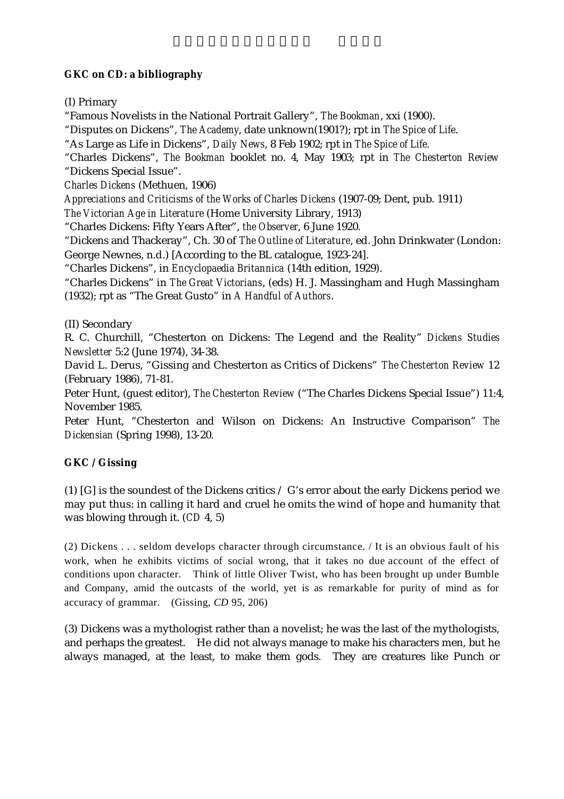## **GKC on CD: a bibliography**

(I) Primary

"Famous Novelists in the National Portrait Gallery", *The Bookman*, xxi (1900).

"Disputes on Dickens", *The Academy*, date unknown(1901?); rpt in *The Spice of Life*.

"As Large as Life in Dickens", *Daily News*, 8 Feb 1902; rpt in *The Spice of Life*.

"Charles Dickens", *The Bookman* booklet no. 4, May 1903; rpt in *The Chesterton Review* "Dickens Special Issue".

*Charles Dickens* (Methuen, 1906)

*Appreciations and Criticisms of the Works of Charles Dickens* (1907-09; Dent, pub. 1911)

*The Victorian Age in Literature* (Home University Library, 1913)

"Charles Dickens: Fifty Years After", *the Observer*, 6 June 1920.

"Dickens and Thackeray", Ch. 30 of *The Outline of Literature*, ed. John Drinkwater (London: George Newnes, n.d.) [According to the BL catalogue, 1923-24].

"Charles Dickens", in *Encyclopaedia Britannica* (14th edition, 1929).

"Charles Dickens" in *The Great Victorians*, (eds) H. J. Massingham and Hugh Massingham (1932); rpt as "The Great Gusto" in *A Handful of Authors*.

(II) Secondary

R. C. Churchill, "Chesterton on Dickens: The Legend and the Reality" *Dickens Studies Newsletter* 5:2 (June 1974), 34-38.

David L. Derus, "Gissing and Chesterton as Critics of Dickens" *The Chesterton Review* 12 (February 1986), 71-81.

Peter Hunt, (guest editor), *The Chesterton Review* ("The Charles Dickens Special Issue") 11:4, November 1985.

Peter Hunt, "Chesterton and Wilson on Dickens: An Instructive Comparison" *The Dickensian* (Spring 1998), 13-20.

## **GKC / Gissing**

(1) [G] is the soundest of the Dickens critics / G's error about the early Dickens period we may put thus: in calling it hard and cruel he omits the wind of hope and humanity that was blowing through it. (*CD* 4, 5)

(2) Dickens . . . seldom develops character through circumstance. / It is an obvious fault of his work, when he exhibits victims of social wrong, that it takes no due account of the effect of conditions upon character. Think of little Oliver Twist, who has been brought up under Bumble and Company, amid the outcasts of the world, yet is as remarkable for purity of mind as for accuracy of grammar. (Gissing, *CD* 95, 206)

(3) Dickens was a mythologist rather than a novelist; he was the last of the mythologists, and perhaps the greatest. He did not always manage to make his characters men, but he always managed, at the least, to make them gods. They are creatures like Punch or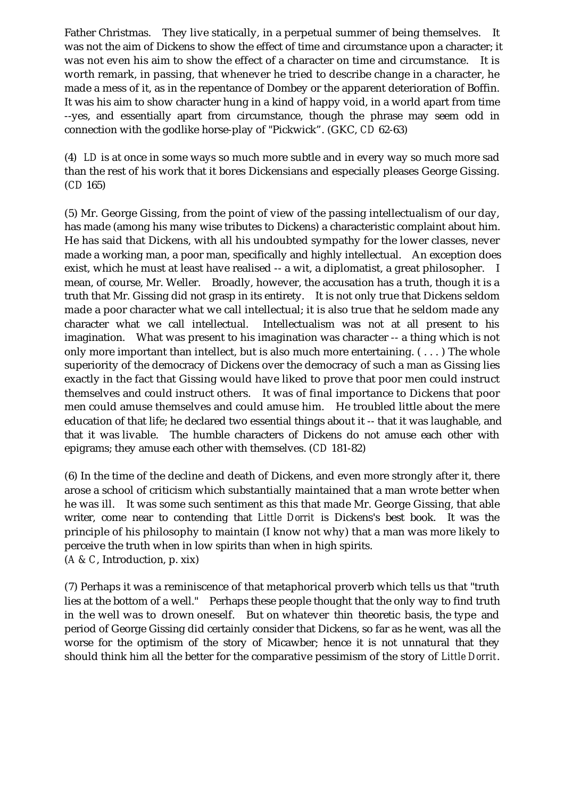Father Christmas. They live statically, in a perpetual summer of being themselves. It was not the aim of Dickens to show the effect of time and circumstance upon a character; it was not even his aim to show the effect of a character on time and circumstance. It is worth remark, in passing, that whenever he tried to describe change in a character, he made a mess of it, as in the repentance of Dombey or the apparent deterioration of Boffin. It was his aim to show character hung in a kind of happy void, in a world apart from time --yes, and essentially apart from circumstance, though the phrase may seem odd in connection with the godlike horse-play of "Pickwick". (GKC, *CD* 62-63)

(4) *LD* is at once in some ways so much more subtle and in every way so much more sad than the rest of his work that it bores Dickensians and especially pleases George Gissing. (*CD* 165)

(5) Mr. George Gissing, from the point of view of the passing intellectualism of our day, has made (among his many wise tributes to Dickens) a characteristic complaint about him. He has said that Dickens, with all his undoubted sympathy for the lower classes, never made a working man, a poor man, specifically and highly intellectual. An exception does exist, which he must at least have realised -- a wit, a diplomatist, a great philosopher. I mean, of course, Mr. Weller. Broadly, however, the accusation has a truth, though it is a truth that Mr. Gissing did not grasp in its entirety. It is not only true that Dickens seldom made a poor character what we call intellectual; it is also true that he seldom made any character what we call intellectual. Intellectualism was not at all present to his imagination. What was present to his imagination was character -- a thing which is not only more important than intellect, but is also much more entertaining.  $( \ldots )$  The whole superiority of the democracy of Dickens over the democracy of such a man as Gissing lies exactly in the fact that Gissing would have liked to prove that poor men could instruct themselves and could instruct others. It was of final importance to Dickens that poor men could amuse themselves and could amuse him. He troubled little about the mere education of that life; he declared two essential things about it -- that it was laughable, and that it was livable. The humble characters of Dickens do not amuse each other with epigrams; they amuse each other with themselves. (*CD* 181-82)

(6) In the time of the decline and death of Dickens, and even more strongly after it, there arose a school of criticism which substantially maintained that a man wrote better when he was ill. It was some such sentiment as this that made Mr. George Gissing, that able writer, come near to contending that *Little Dorrit* is Dickens's best book. It was the principle of his philosophy to maintain (I know not why) that a man was more likely to perceive the truth when in low spirits than when in high spirits. (*A & C*, Introduction, p. xix)

(7) Perhaps it was a reminiscence of that metaphorical proverb which tells us that "truth lies at the bottom of a well." Perhaps these people thought that the only way to find truth in the well was to drown oneself. But on whatever thin theoretic basis, the type and period of George Gissing did certainly consider that Dickens, so far as he went, was all the worse for the optimism of the story of Micawber; hence it is not unnatural that they should think him all the better for the comparative pessimism of the story of *Little Dorrit*.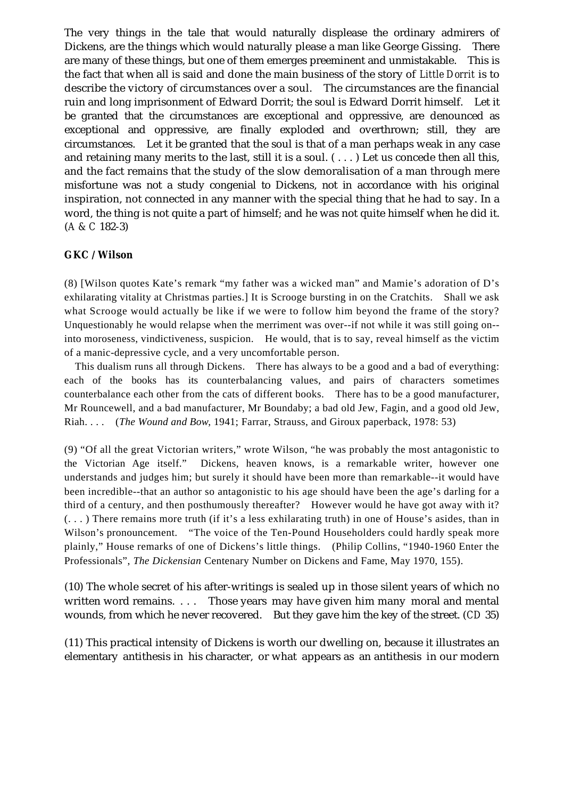The very things in the tale that would naturally displease the ordinary admirers of Dickens, are the things which would naturally please a man like George Gissing. There are many of these things, but one of them emerges preeminent and unmistakable. This is the fact that when all is said and done the main business of the story of *Little Dorrit* is to describe the victory of circumstances over a soul. The circumstances are the financial ruin and long imprisonment of Edward Dorrit; the soul is Edward Dorrit himself. Let it be granted that the circumstances are exceptional and oppressive, are denounced as exceptional and oppressive, are finally exploded and overthrown; still, they are circumstances. Let it be granted that the soul is that of a man perhaps weak in any case and retaining many merits to the last, still it is a soul.  $(\ldots)$  Let us concede then all this, and the fact remains that the study of the slow demoralisation of a man through mere misfortune was not a study congenial to Dickens, not in accordance with his original inspiration, not connected in any manner with the special thing that he had to say. In a word, the thing is not quite a part of himself; and he was not quite himself when he did it. (*A & C* 182-3)

## **GKC / Wilson**

(8) [Wilson quotes Kate's remark "my father was a wicked man" and Mamie's adoration of D's exhilarating vitality at Christmas parties.] It is Scrooge bursting in on the Cratchits. Shall we ask what Scrooge would actually be like if we were to follow him beyond the frame of the story? Unquestionably he would relapse when the merriment was over--if not while it was still going on- into moroseness, vindictiveness, suspicion. He would, that is to say, reveal himself as the victim of a manic-depressive cycle, and a very uncomfortable person.

This dualism runs all through Dickens. There has always to be a good and a bad of everything: each of the books has its counterbalancing values, and pairs of characters sometimes counterbalance each other from the cats of different books. There has to be a good manufacturer, Mr Rouncewell, and a bad manufacturer, Mr Boundaby; a bad old Jew, Fagin, and a good old Jew, Riah. . . . (*The Wound and Bow*, 1941; Farrar, Strauss, and Giroux paperback, 1978: 53)

(9) "Of all the great Victorian writers," wrote Wilson, "he was probably the most antagonistic to the Victorian Age itself." Dickens, heaven knows, is a remarkable writer, however one understands and judges him; but surely it should have been more than remarkable--it would have been incredible--that an author so antagonistic to his age should have been the age's darling for a third of a century, and then posthumously thereafter? However would he have got away with it? (. . . ) There remains more truth (if it's a less exhilarating truth) in one of House's asides, than in Wilson's pronouncement. "The voice of the Ten-Pound Householders could hardly speak more plainly," House remarks of one of Dickens's little things. (Philip Collins, "1940-1960 Enter the Professionals", *The Dickensian* Centenary Number on Dickens and Fame, May 1970, 155).

(10) The whole secret of his after-writings is sealed up in those silent years of which no written word remains. . . . Those years may have given him many moral and mental wounds, from which he never recovered. But they gave him the key of the street. (*CD* 35)

(11) This practical intensity of Dickens is worth our dwelling on, because it illustrates an elementary antithesis in his character, or what appears as an antithesis in our modern